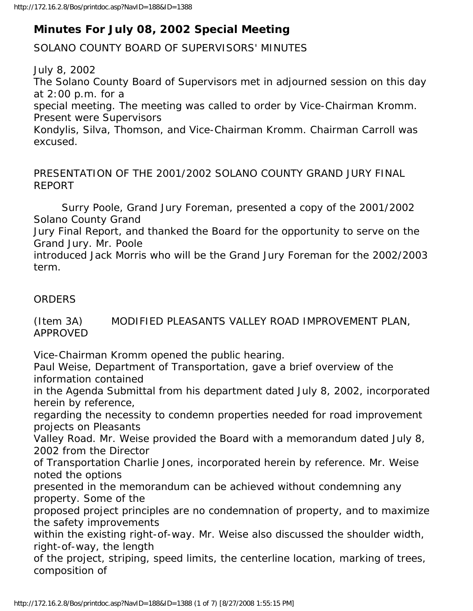## **Minutes For July 08, 2002 Special Meeting**

SOLANO COUNTY BOARD OF SUPERVISORS' MINUTES

July 8, 2002 The Solano County Board of Supervisors met in adjourned session on this day at 2:00 p.m. for a special meeting. The meeting was called to order by Vice-Chairman Kromm. Present were Supervisors Kondylis, Silva, Thomson, and Vice-Chairman Kromm. Chairman Carroll was excused.

PRESENTATION OF THE 2001/2002 SOLANO COUNTY GRAND JURY FINAL REPORT

 Surry Poole, Grand Jury Foreman, presented a copy of the 2001/2002 Solano County Grand

Jury Final Report, and thanked the Board for the opportunity to serve on the Grand Jury. Mr. Poole

introduced Jack Morris who will be the Grand Jury Foreman for the 2002/2003 term.

## **ORDERS**

(Item 3A) MODIFIED PLEASANTS VALLEY ROAD IMPROVEMENT PLAN, APPROVED

Vice-Chairman Kromm opened the public hearing.

Paul Weise, Department of Transportation, gave a brief overview of the information contained

in the Agenda Submittal from his department dated July 8, 2002, incorporated herein by reference,

regarding the necessity to condemn properties needed for road improvement projects on Pleasants

Valley Road. Mr. Weise provided the Board with a memorandum dated July 8, 2002 from the Director

of Transportation Charlie Jones, incorporated herein by reference. Mr. Weise noted the options

presented in the memorandum can be achieved without condemning any property. Some of the

proposed project principles are no condemnation of property, and to maximize the safety improvements

within the existing right-of-way. Mr. Weise also discussed the shoulder width, right-of-way, the length

of the project, striping, speed limits, the centerline location, marking of trees, composition of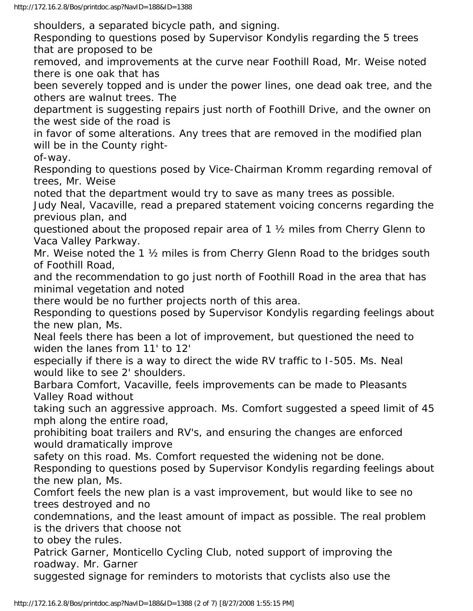shoulders, a separated bicycle path, and signing.

Responding to questions posed by Supervisor Kondylis regarding the 5 trees that are proposed to be

removed, and improvements at the curve near Foothill Road, Mr. Weise noted there is one oak that has

been severely topped and is under the power lines, one dead oak tree, and the others are walnut trees. The

department is suggesting repairs just north of Foothill Drive, and the owner on the west side of the road is

in favor of some alterations. Any trees that are removed in the modified plan will be in the County right-

of-way.

Responding to questions posed by Vice-Chairman Kromm regarding removal of trees, Mr. Weise

noted that the department would try to save as many trees as possible.

Judy Neal, Vacaville, read a prepared statement voicing concerns regarding the previous plan, and

questioned about the proposed repair area of 1 ½ miles from Cherry Glenn to Vaca Valley Parkway.

Mr. Weise noted the 1 ½ miles is from Cherry Glenn Road to the bridges south of Foothill Road,

and the recommendation to go just north of Foothill Road in the area that has minimal vegetation and noted

there would be no further projects north of this area.

Responding to questions posed by Supervisor Kondylis regarding feelings about the new plan, Ms.

Neal feels there has been a lot of improvement, but questioned the need to widen the lanes from 11' to 12'

especially if there is a way to direct the wide RV traffic to I-505. Ms. Neal would like to see 2' shoulders.

Barbara Comfort, Vacaville, feels improvements can be made to Pleasants Valley Road without

taking such an aggressive approach. Ms. Comfort suggested a speed limit of 45 mph along the entire road,

prohibiting boat trailers and RV's, and ensuring the changes are enforced would dramatically improve

safety on this road. Ms. Comfort requested the widening not be done.

Responding to questions posed by Supervisor Kondylis regarding feelings about the new plan, Ms.

Comfort feels the new plan is a vast improvement, but would like to see no trees destroyed and no

condemnations, and the least amount of impact as possible. The real problem is the drivers that choose not

to obey the rules.

Patrick Garner, Monticello Cycling Club, noted support of improving the roadway. Mr. Garner

suggested signage for reminders to motorists that cyclists also use the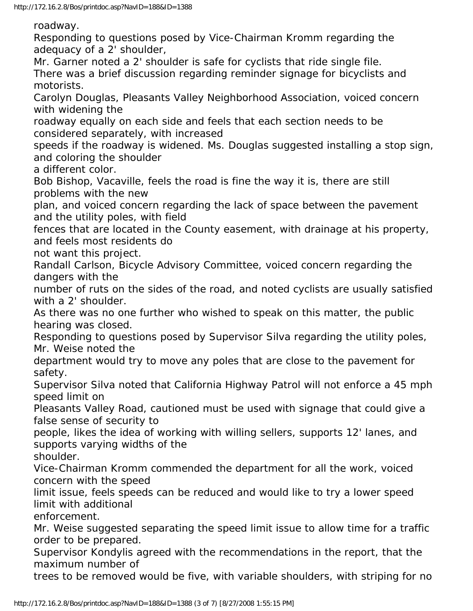roadway.

Responding to questions posed by Vice-Chairman Kromm regarding the adequacy of a 2' shoulder,

Mr. Garner noted a 2' shoulder is safe for cyclists that ride single file. There was a brief discussion regarding reminder signage for bicyclists and motorists.

Carolyn Douglas, Pleasants Valley Neighborhood Association, voiced concern with widening the

roadway equally on each side and feels that each section needs to be considered separately, with increased

speeds if the roadway is widened. Ms. Douglas suggested installing a stop sign, and coloring the shoulder

a different color.

Bob Bishop, Vacaville, feels the road is fine the way it is, there are still problems with the new

plan, and voiced concern regarding the lack of space between the pavement and the utility poles, with field

fences that are located in the County easement, with drainage at his property, and feels most residents do

not want this project.

Randall Carlson, Bicycle Advisory Committee, voiced concern regarding the dangers with the

number of ruts on the sides of the road, and noted cyclists are usually satisfied with a 2' shoulder.

As there was no one further who wished to speak on this matter, the public hearing was closed.

Responding to questions posed by Supervisor Silva regarding the utility poles, Mr. Weise noted the

department would try to move any poles that are close to the pavement for safety.

Supervisor Silva noted that California Highway Patrol will not enforce a 45 mph speed limit on

Pleasants Valley Road, cautioned must be used with signage that could give a false sense of security to

people, likes the idea of working with willing sellers, supports 12' lanes, and supports varying widths of the

shoulder.

Vice-Chairman Kromm commended the department for all the work, voiced concern with the speed

limit issue, feels speeds can be reduced and would like to try a lower speed limit with additional

enforcement.

Mr. Weise suggested separating the speed limit issue to allow time for a traffic order to be prepared.

Supervisor Kondylis agreed with the recommendations in the report, that the maximum number of

trees to be removed would be five, with variable shoulders, with striping for no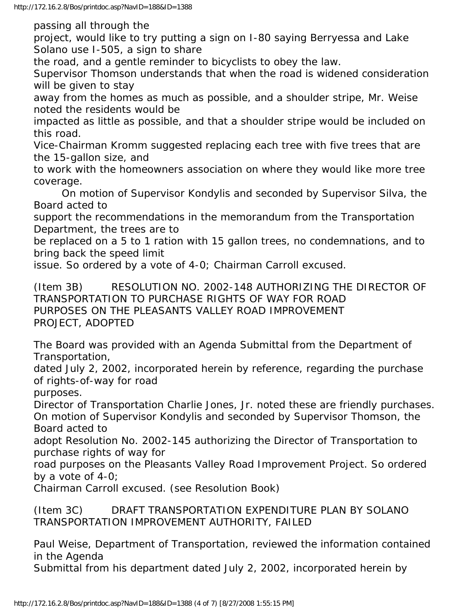passing all through the

project, would like to try putting a sign on I-80 saying Berryessa and Lake Solano use I-505, a sign to share

the road, and a gentle reminder to bicyclists to obey the law.

Supervisor Thomson understands that when the road is widened consideration will be given to stay

away from the homes as much as possible, and a shoulder stripe, Mr. Weise noted the residents would be

impacted as little as possible, and that a shoulder stripe would be included on this road.

Vice-Chairman Kromm suggested replacing each tree with five trees that are the 15-gallon size, and

to work with the homeowners association on where they would like more tree coverage.

 On motion of Supervisor Kondylis and seconded by Supervisor Silva, the Board acted to

support the recommendations in the memorandum from the Transportation Department, the trees are to

be replaced on a 5 to 1 ration with 15 gallon trees, no condemnations, and to bring back the speed limit

issue. So ordered by a vote of 4-0; Chairman Carroll excused.

(Item 3B) RESOLUTION NO. 2002-148 AUTHORIZING THE DIRECTOR OF TRANSPORTATION TO PURCHASE RIGHTS OF WAY FOR ROAD PURPOSES ON THE PLEASANTS VALLEY ROAD IMPROVEMENT PROJECT, ADOPTED

The Board was provided with an Agenda Submittal from the Department of Transportation,

dated July 2, 2002, incorporated herein by reference, regarding the purchase of rights-of-way for road

purposes.

Director of Transportation Charlie Jones, Jr. noted these are friendly purchases. On motion of Supervisor Kondylis and seconded by Supervisor Thomson, the Board acted to

adopt Resolution No. 2002-145 authorizing the Director of Transportation to purchase rights of way for

road purposes on the Pleasants Valley Road Improvement Project. So ordered by a vote of 4-0;

Chairman Carroll excused. (see Resolution Book)

(Item 3C) DRAFT TRANSPORTATION EXPENDITURE PLAN BY SOLANO TRANSPORTATION IMPROVEMENT AUTHORITY, FAILED

Paul Weise, Department of Transportation, reviewed the information contained in the Agenda

Submittal from his department dated July 2, 2002, incorporated herein by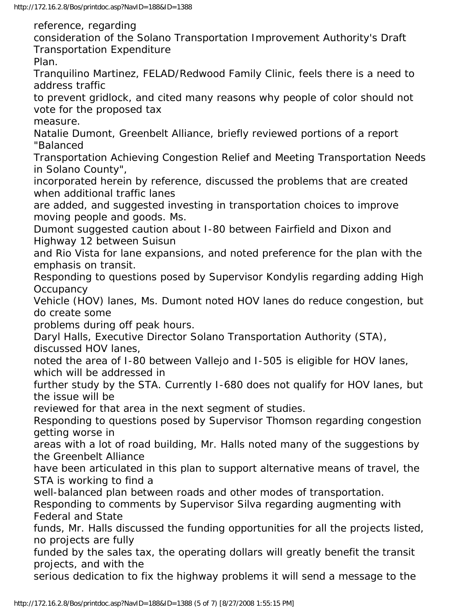reference, regarding

consideration of the Solano Transportation Improvement Authority's Draft Transportation Expenditure

Plan.

Tranquilino Martinez, FELAD/Redwood Family Clinic, feels there is a need to address traffic

to prevent gridlock, and cited many reasons why people of color should not vote for the proposed tax

measure.

Natalie Dumont, Greenbelt Alliance, briefly reviewed portions of a report "Balanced

Transportation Achieving Congestion Relief and Meeting Transportation Needs in Solano County",

incorporated herein by reference, discussed the problems that are created when additional traffic lanes

are added, and suggested investing in transportation choices to improve moving people and goods. Ms.

Dumont suggested caution about I-80 between Fairfield and Dixon and Highway 12 between Suisun

and Rio Vista for lane expansions, and noted preference for the plan with the emphasis on transit.

Responding to questions posed by Supervisor Kondylis regarding adding High **Occupancy** 

Vehicle (HOV) lanes, Ms. Dumont noted HOV lanes do reduce congestion, but do create some

problems during off peak hours.

Daryl Halls, Executive Director Solano Transportation Authority (STA),

discussed HOV lanes,

noted the area of I-80 between Vallejo and I-505 is eligible for HOV lanes, which will be addressed in

further study by the STA. Currently I-680 does not qualify for HOV lanes, but the issue will be

reviewed for that area in the next segment of studies.

Responding to questions posed by Supervisor Thomson regarding congestion getting worse in

areas with a lot of road building, Mr. Halls noted many of the suggestions by the Greenbelt Alliance

have been articulated in this plan to support alternative means of travel, the STA is working to find a

well-balanced plan between roads and other modes of transportation.

Responding to comments by Supervisor Silva regarding augmenting with Federal and State

funds, Mr. Halls discussed the funding opportunities for all the projects listed, no projects are fully

funded by the sales tax, the operating dollars will greatly benefit the transit projects, and with the

serious dedication to fix the highway problems it will send a message to the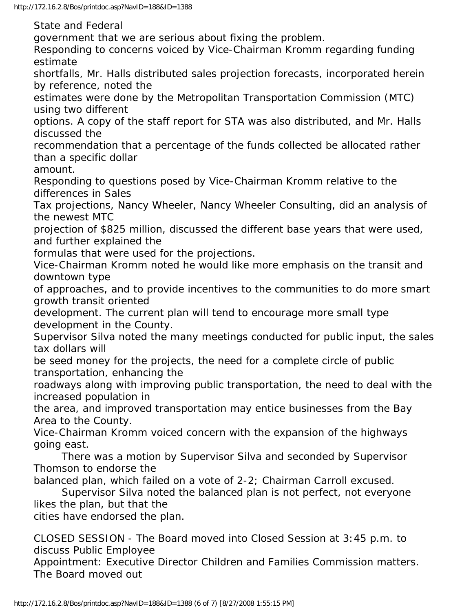State and Federal government that we are serious about fixing the problem. Responding to concerns voiced by Vice-Chairman Kromm regarding funding estimate shortfalls, Mr. Halls distributed sales projection forecasts, incorporated herein by reference, noted the estimates were done by the Metropolitan Transportation Commission (MTC) using two different options. A copy of the staff report for STA was also distributed, and Mr. Halls discussed the recommendation that a percentage of the funds collected be allocated rather than a specific dollar amount. Responding to questions posed by Vice-Chairman Kromm relative to the differences in Sales Tax projections, Nancy Wheeler, Nancy Wheeler Consulting, did an analysis of the newest MTC projection of \$825 million, discussed the different base years that were used, and further explained the formulas that were used for the projections. Vice-Chairman Kromm noted he would like more emphasis on the transit and downtown type of approaches, and to provide incentives to the communities to do more smart growth transit oriented development. The current plan will tend to encourage more small type development in the County. Supervisor Silva noted the many meetings conducted for public input, the sales tax dollars will be seed money for the projects, the need for a complete circle of public transportation, enhancing the roadways along with improving public transportation, the need to deal with the increased population in the area, and improved transportation may entice businesses from the Bay Area to the County. Vice-Chairman Kromm voiced concern with the expansion of the highways going east. There was a motion by Supervisor Silva and seconded by Supervisor Thomson to endorse the balanced plan, which failed on a vote of 2-2; Chairman Carroll excused. Supervisor Silva noted the balanced plan is not perfect, not everyone likes the plan, but that the cities have endorsed the plan.

CLOSED SESSION - The Board moved into Closed Session at 3:45 p.m. to discuss Public Employee

Appointment: Executive Director Children and Families Commission matters. The Board moved out